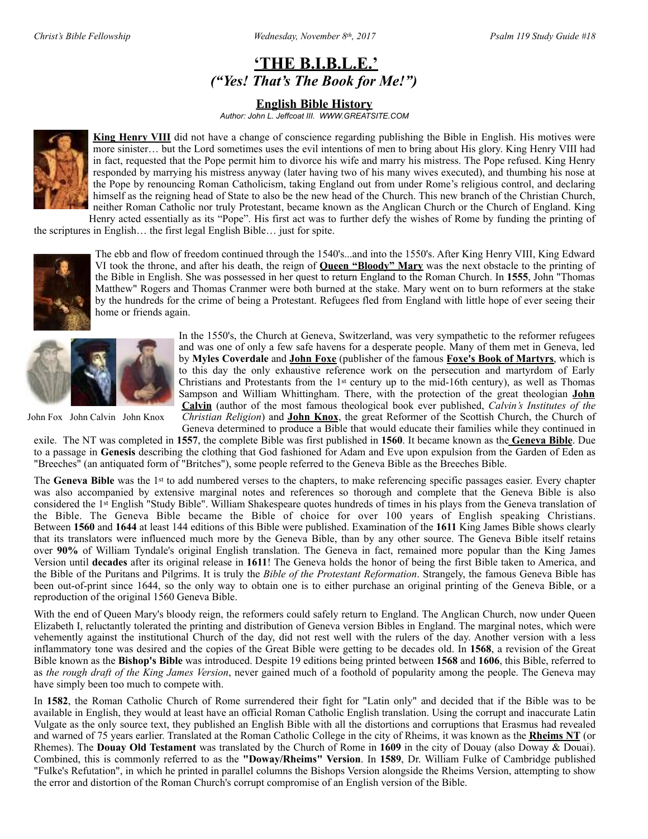# **'THE B.I.B.L.E.'** *("Yes! That's The Book for Me!")*

#### **English Bible History**

*Author: John L. Jeffcoat III. WWW.GREATSITE.COM*



**[King Henry VIII](http://greatsite.com/timeline-english-bible-history/king-henry.html)** did not have a change of conscience regarding publishing the Bible in English. His motives were more sinister… but the Lord sometimes uses the evil intentions of men to bring about His glory. King Henry VIII had in fact, requested that the Pope permit him to divorce his wife and marry his mistress. The Pope refused. King Henry responded by marrying his mistress anyway (later having two of his many wives executed), and thumbing his nose at the Pope by renouncing Roman Catholicism, taking England out from under Rome's religious control, and declaring himself as the reigning head of State to also be the new head of the Church. This new branch of the Christian Church, neither Roman Catholic nor truly Protestant, became known as the Anglican Church or the Church of England. King Henry acted essentially as its "Pope". His first act was to further defy the wishes of Rome by funding the printing of

the scriptures in English… the first legal English Bible… just for spite.



The ebb and flow of freedom continued through the 1540's...and into the 1550's. After King Henry VIII, King Edward VI took the throne, and after his death, the reign of **[Queen "Bloody" Mary](http://greatsite.com/timeline-english-bible-history/queen-mary.html)** was the next obstacle to the printing of the Bible in English. She was possessed in her quest to return England to the Roman Church. In **1555**, John "Thomas Matthew" Rogers and Thomas Cranmer were both burned at the stake. Mary went on to burn reformers at the stake by the hundreds for the crime of being a Protestant. Refugees fled from England with little hope of ever seeing their home or friends again.



John Fox John Calvin John Knox

In the 1550's, the Church at Geneva, Switzerland, was very sympathetic to the reformer refugees and was one of only a few safe havens for a desperate people. Many of them met in Geneva, led by **Myles Coverdale** and **[John Foxe](http://greatsite.com/timeline-english-bible-history/john-foxe.html)** (publisher of the famous **[Foxe's Book of Martyrs](http://greatsite.com/facsimile-reproductions/foxe-1684.html)**, which is to this day the only exhaustive reference work on the persecution and martyrdom of Early Christians and Protestants from the  $1<sup>st</sup>$  century up to the mid-16th century), as well as Thomas Sampson and William Whittingham. There, with the protection of the great theologian **[John](http://greatsite.com/timeline-english-bible-history/john-calvin.html) [Calvin](http://greatsite.com/timeline-english-bible-history/john-calvin.html)** (author of the most famous theological book ever published, *Calvin's Institutes of the Christian Religion*) and **[John Knox](http://greatsite.com/timeline-english-bible-history/john-knox.html)**, the great Reformer of the Scottish Church, the Church of Geneva determined to produce a Bible that would educate their families while they continued in

exile. The NT was completed in **1557**, the complete Bible was first published in **1560**. It became known as the **[Geneva Bible](http://greatsite.com/ancient-rare-bible-leaves/geneva-leaf.html)**. Due to a passage in **Genesis** describing the clothing that God fashioned for Adam and Eve upon expulsion from the Garden of Eden as "Breeches" (an antiquated form of "Britches"), some people referred to the Geneva Bible as the Breeches Bible.

The **Geneva Bible** was the 1st to add numbered verses to the chapters, to make referencing specific passages easier. Every chapter was also accompanied by extensive marginal notes and references so thorough and complete that the Geneva Bible is also considered the 1st English "Study Bible". William Shakespeare quotes hundreds of times in his plays from the Geneva translation of the Bible. The Geneva Bible became the Bible of choice for over 100 years of English speaking Christians. Between **1560** and **1644** at least 144 editions of this Bible were published. Examination of the **1611** King James Bible shows clearly that its translators were influenced much more by the Geneva Bible, than by any other source. The Geneva Bible itself retains over **90%** of William Tyndale's original English translation. The Geneva in fact, remained more popular than the King James Version until **decades** after its original release in **1611**! The Geneva holds the honor of being the first Bible taken to America, and the Bible of the Puritans and Pilgrims. It is truly the *Bible of the Protestant Reformation*. Strangely, the famous Geneva Bible has been out-of-print since 1644, so the only way to obtain one is to either purchase an [original printing of the Geneva Bibl](http://www.greatsite.com/ancient-rare-bibles-books/featured-selections.html)**e**, or a [reproduction of the original 1560 Geneva Bible](http://greatsite.com/facsimile-reproductions/geneva-1560.html).

With the end of Queen Mary's bloody reign, the reformers could safely return to England. The Anglican Church, now under Queen Elizabeth I, reluctantly tolerated the printing and distribution of Geneva version Bibles in England. The marginal notes, which were vehemently against the institutional Church of the day, did not rest well with the rulers of the day. Another version with a less inflammatory tone was desired and the copies of the Great Bible were getting to be decades old. In **1568**, a revision of the Great Bible known as the **[Bishop's Bible](http://greatsite.com/facsimile-reproductions/bishops-1568.html)** was introduced. Despite 19 editions being printed between **1568** and **1606**, this Bible, referred to as *the rough draft of the King James Version*, never gained much of a foothold of popularity among the people. The Geneva may have simply been too much to compete with.

In **1582**, the Roman Catholic Church of Rome surrendered their fight for "Latin only" and decided that if the Bible was to be available in English, they would at least have an official Roman Catholic English translation. Using the corrupt and inaccurate Latin Vulgate as the only source text, they published an English Bible with all the distortions and corruptions that Erasmus had revealed and warned of 75 years earlier. Translated at the Roman Catholic College in the city of Rheims, it was known as the **[Rheims NT](http://greatsite.com/ancient-rare-bible-leaves/rheims-1582-leaf.html)** (or Rhemes). The **Douay Old Testament** was translated by the Church of Rome in **1609** in the city of Douay (also Doway & Douai). Combined, this is commonly referred to as the **"Doway/Rheims" Version**. In **1589**, Dr. William Fulke of Cambridge published "Fulke's Refutation", in which he printed in parallel columns the Bishops Version alongside the Rheims Version, attempting to show the error and distortion of the Roman Church's corrupt compromise of an English version of the Bible.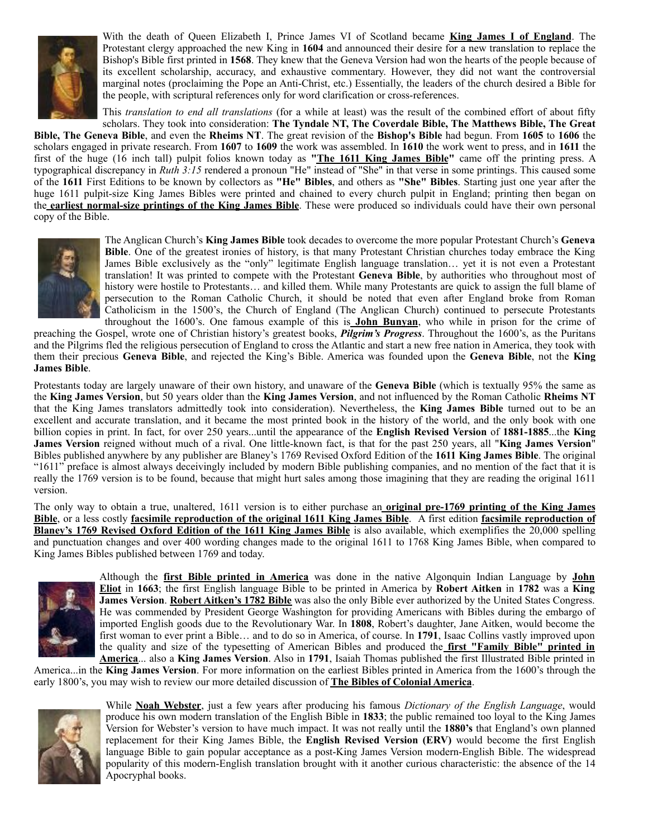

With the death of Queen Elizabeth I, Prince James VI of Scotland became **[King James I of England](http://greatsite.com/timeline-english-bible-history/king-james.html)**. The Protestant clergy approached the new King in **1604** and announced their desire for a new translation to replace the Bishop's Bible first printed in **1568**. They knew that the Geneva Version had won the hearts of the people because of its excellent scholarship, accuracy, and exhaustive commentary. However, they did not want the controversial marginal notes (proclaiming the Pope an Anti-Christ, etc.) Essentially, the leaders of the church desired a Bible for the people, with scriptural references only for word clarification or cross-references.

This *translation to end all translations* (for a while at least) was the result of the combined effort of about fifty scholars. They took into consideration: **The Tyndale NT, The Coverdale Bible, The Matthews Bible, The Great** 

**Bible, The Geneva Bible**, and even the **Rheims NT**. The great revision of the **Bishop's Bible** had begun. From **1605** to **1606** the scholars engaged in private research. From **1607** to **1609** the work was assembled. In **1610** the work went to press, and in **1611** the first of the huge (16 inch tall) pulpit folios known today as **["The 1611 King James Bible"](http://greatsite.com/ancient-rare-bible-leaves/king-james-1611-leaf.html)** came off the printing press. A typographical discrepancy in *Ruth 3:15* rendered a pronoun "He" instead of "She" in that verse in some printings. This caused some of the **1611** First Editions to be known by collectors as **"He" Bibles**, and others as **"She" Bibles**. Starting just one year after the huge 1611 pulpit-size King James Bibles were printed and chained to every church pulpit in England; printing then began on the **[earliest normal-size printings of the King James Bible](http://greatsite.com/ancient-rare-bible-leaves/king-james-leaf.html)**. These were produced so individuals could have their own personal copy of the Bible.



The Anglican Church's **King James Bible** took decades to overcome the more popular Protestant Church's **Geneva Bible**. One of the greatest ironies of history, is that many Protestant Christian churches today embrace the King James Bible exclusively as the "only" legitimate English language translation… yet it is not even a Protestant translation! It was printed to compete with the Protestant **Geneva Bible**, by authorities who throughout most of history were hostile to Protestants… and killed them. While many Protestants are quick to assign the full blame of persecution to the Roman Catholic Church, it should be noted that even after England broke from Roman Catholicism in the 1500's, the Church of England (The Anglican Church) continued to persecute Protestants throughout the 1600's. One famous example of this is **[John Bunyan](http://greatsite.com/timeline-english-bible-history/john-bunyan.html)**, who while in prison for the crime of

preaching the Gospel, wrote one of Christian history's greatest books, *Pilgrim's Progress*. Throughout the 1600's, as the Puritans and the Pilgrims fled the religious persecution of England to cross the Atlantic and start a new free nation in America, they took with them their precious **Geneva Bible**, and rejected the King's Bible. America was founded upon the **Geneva Bible**, not the **King James Bible**.

Protestants today are largely unaware of their own history, and unaware of the **Geneva Bible** (which is textually 95% the same as the **King James Version**, but 50 years older than the **King James Version**, and not influenced by the Roman Catholic **Rheims NT** that the King James translators admittedly took into consideration). Nevertheless, the **King James Bible** turned out to be an excellent and accurate translation, and it became the most printed book in the history of the world, and the only book with one billion copies in print. In fact, for over 250 years...until the appearance of the **English Revised Version** of **1881-1885**...the **King James Version** reigned without much of a rival. One little-known fact, is that for the past 250 years, all "**King James Version**" Bibles published anywhere by any publisher are Blaney's 1769 Revised Oxford Edition of the **1611 King James Bible**. The original "1611" preface is almost always deceivingly included by modern Bible publishing companies, and no mention of the fact that it is really the 1769 version is to be found, because that might hurt sales among those imagining that they are reading the original 1611 version.

The only way to obtain a true, unaltered, 1611 version is to either purchase an **[original pre-1769 printing of the King James](http://www.greatsite.com/ancient-rare-bibles-books/featured-selections.html) [Bible](http://www.greatsite.com/ancient-rare-bibles-books/featured-selections.html)**, or a less costly **[facsimile reproduction of the original 1611 King James Bible](http://greatsite.com/facsimile-reproductions/kingjames-1611.html)**. A first edition **[facsimile reproduction of](http://greatsite.com/facsimile-reproductions/1769.html) [Blaney's 1769 Revised Oxford Edition of the 1611 King James Bible](http://greatsite.com/facsimile-reproductions/1769.html)** is also available, which exemplifies the 20,000 spelling and punctuation changes and over 400 wording changes made to the original 1611 to 1768 King James Bible, when compared to King James Bibles published between 1769 and today.



Although the **[first Bible printed in America](http://greatsite.com/ancient-rare-bible-leaves/eliot-1663-leaf.html)** was done in the native Algonquin Indian Language by **[John](http://greatsite.com/timeline-english-bible-history/john-eliot.html) [Eliot](http://greatsite.com/timeline-english-bible-history/john-eliot.html)** in **1663**; the first English language Bible to be printed in America by **Robert Aitken** in **1782** was a **King James Version**. **[Robert Aitken's 1782 Bible](http://greatsite.com/ancient-rare-bible-leaves/aitken-1782-leaf.html)** was also the only Bible ever authorized by the United States Congress. He was commended by President George Washington for providing Americans with Bibles during the embargo of imported English goods due to the Revolutionary War. In **1808**, Robert's daughter, Jane Aitken, would become the first woman to ever print a Bible… and to do so in America, of course. In **1791**, Isaac Collins vastly improved upon the quality and size of the typesetting of American Bibles and produced the **[first "Family Bible" printed in](http://greatsite.com/ancient-rare-bible-leaves/collins-leaf.html) [America](http://greatsite.com/ancient-rare-bible-leaves/collins-leaf.html)**... also a **King James Version**. Also in **1791**, Isaiah Thomas published the first Illustrated Bible printed in

America...in the **King James Version**. For more information on the earliest Bibles printed in America from the 1600's through the early 1800's, you may wish to review our more detailed discussion of **[The Bibles of Colonial America](http://greatsite.com/timeline-english-bible-history/colonial-bibles.html)**.



While **[Noah Webster](http://greatsite.com/timeline-english-bible-history/noah-webster.html)**, just a few years after producing his famous *Dictionary of the English Language*, would produce his own modern translation of the English Bible in **1833**; the public remained too loyal to the King James Version for Webster's version to have much impact. It was not really until the **1880's** that England's own planned replacement for their King James Bible, the **English Revised Version (ERV)** would become the first English language Bible to gain popular acceptance as a post-King James Version modern-English Bible. The widespread popularity of this modern-English translation brought with it another curious characteristic: the absence of the 14 Apocryphal books.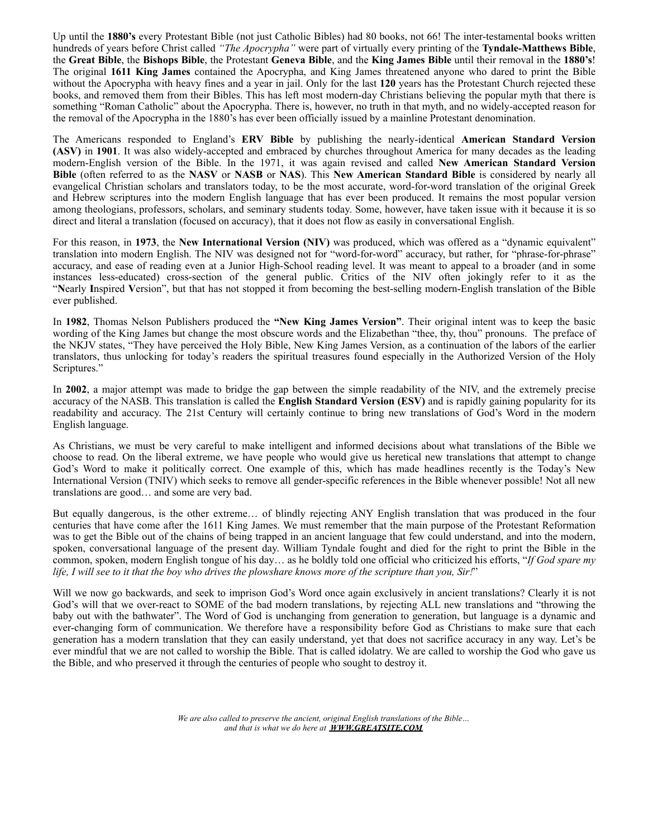Up until the **1880's** every Protestant Bible (not just Catholic Bibles) had 80 books, not 66! The inter-testamental books written hundreds of years before Christ called *"The Apocrypha"* were part of virtually every printing of the **Tyndale-Matthews Bible**, the **Great Bible**, the **Bishops Bible**, the Protestant **Geneva Bible**, and the **King James Bible** until their removal in the **1880's**! The original **1611 King James** contained the Apocrypha, and King James threatened anyone who dared to print the Bible without the Apocrypha with heavy fines and a year in jail. Only for the last **120** years has the Protestant Church rejected these books, and removed them from their Bibles. This has left most modern-day Christians believing the popular myth that there is something "Roman Catholic" about the Apocrypha. There is, however, no truth in that myth, and no widely-accepted reason for the removal of the Apocrypha in the 1880's has ever been officially issued by a mainline Protestant denomination.

The Americans responded to England's **ERV Bible** by publishing the nearly-identical **American Standard Version (ASV)** in **1901**. It was also widely-accepted and embraced by churches throughout America for many decades as the leading modern-English version of the Bible. In the 1971, it was again revised and called **New American Standard Version Bible** (often referred to as the **NASV** or **NASB** or **NAS**). This **New American Standard Bible** is considered by nearly all evangelical Christian scholars and translators today, to be the most accurate, word-for-word translation of the original Greek and Hebrew scriptures into the modern English language that has ever been produced. It remains the most popular version among theologians, professors, scholars, and seminary students today. Some, however, have taken issue with it because it is so direct and literal a translation (focused on accuracy), that it does not flow as easily in conversational English.

For this reason, in **1973**, the **New International Version (NIV)** was produced, which was offered as a "dynamic equivalent" translation into modern English. The NIV was designed not for "word-for-word" accuracy, but rather, for "phrase-for-phrase" accuracy, and ease of reading even at a Junior High-School reading level. It was meant to appeal to a broader (and in some instances less-educated) cross-section of the general public. Critics of the NIV often jokingly refer to it as the "**N**early **I**nspired **V**ersion", but that has not stopped it from becoming the best-selling modern-English translation of the Bible ever published.

In **1982**, Thomas Nelson Publishers produced the **"New King James Version"**. Their original intent was to keep the basic wording of the King James but change the most obscure words and the Elizabethan "thee, thy, thou" pronouns. The preface of the NKJV states, "They have perceived the Holy Bible, New King James Version, as a continuation of the labors of the earlier translators, thus unlocking for today's readers the spiritual treasures found especially in the Authorized Version of the Holy Scriptures."

In **2002**, a major attempt was made to bridge the gap between the simple readability of the NIV, and the extremely precise accuracy of the NASB. This translation is called the **English Standard Version (ESV)** and is rapidly gaining popularity for its readability and accuracy. The 21st Century will certainly continue to bring new translations of God's Word in the modern English language.

As Christians, we must be very careful to make intelligent and informed decisions about what translations of the Bible we choose to read. On the liberal extreme, we have people who would give us heretical new translations that attempt to change God's Word to make it politically correct. One example of this, which has made headlines recently is the Today's New International Version (TNIV) which seeks to remove all gender-specific references in the Bible whenever possible! Not all new translations are good… and some are very bad.

But equally dangerous, is the other extreme… of blindly rejecting ANY English translation that was produced in the four centuries that have come after the 1611 King James. We must remember that the main purpose of the Protestant Reformation was to get the Bible out of the chains of being trapped in an ancient language that few could understand, and into the modern, spoken, conversational language of the present day. William Tyndale fought and died for the right to print the Bible in the common, spoken, modern English tongue of his day… as he boldly told one official who criticized his efforts, "*If God spare my life, I will see to it that the boy who drives the plowshare knows more of the scripture than you, Sir!*"

Will we now go backwards, and seek to imprison God's Word once again exclusively in ancient translations? Clearly it is not God's will that we over-react to SOME of the bad modern translations, by rejecting ALL new translations and "throwing the baby out with the bathwater". The Word of God is unchanging from generation to generation, but language is a dynamic and ever-changing form of communication. We therefore have a responsibility before God as Christians to make sure that each generation has a modern translation that they can easily understand, yet that does not sacrifice accuracy in any way. Let's be ever mindful that we are not called to worship the Bible. That is called idolatry. We are called to worship the God who gave us the Bible, and who preserved it through the centuries of people who sought to destroy it.